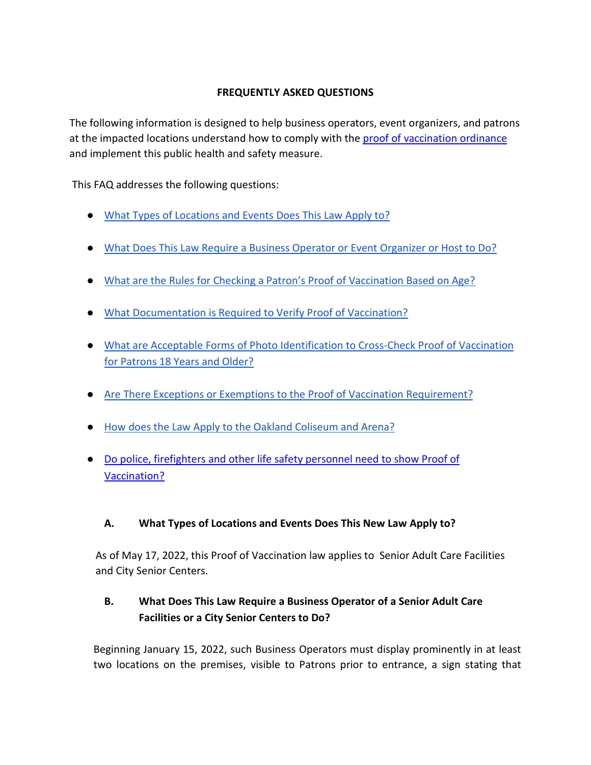#### **FREQUENTLY ASKED QUESTIONS**

The following information is designed to help business operators, event organizers, and patrons at th[e](https://s3.us-west-2.amazonaws.com/cao-94612/galleries/13669-CMS.pdf) impacted locations understand how to comply with the [proof of vaccination ordinance](https://s3.us-west-2.amazonaws.com/cao-94612/galleries/13669-CMS.pdf) and implement this public health and safety measure.

This FAQ addresses the following questions:

- [What Types of Locations and Events Does This Law Apply to?](#page-0-0)
- [What Does This Law Require a Business Operator or Event Organizer or Host](#page-0-1) to Do?
- [What are the Rules for Checking a Patron's Proof of Vaccination Based on Age?](#page-1-0)
- [What Documentation is Required to Verify Proof of Vaccination?](#page-1-1)
- [What are Acceptable Forms of Photo Identification to Cross-Check Proof of Vaccination](#page-2-0)  [for Patrons 18 Years and Older?](#page-2-0)
- [Are There Exceptions or Exemptions to the Proof of Vaccination Requirement?](#page-2-1)
- [How does the Law Apply to the Oakland Coliseum and Arena?](#page-2-2)
- [Do police, firefighters and other life safety personnel need to show Proof of](#page-3-0)  [Vaccination?](#page-3-0)

### <span id="page-0-0"></span>**A. What Types of Locations and Events Does This New Law Apply to?**

As of May 17, 2022, this Proof of Vaccination law applies to Senior Adult Care Facilities and City Senior Centers.

# <span id="page-0-1"></span>**B. What Does This Law Require a Business Operator of a Senior Adult Care Facilities or a City Senior Centers to Do?**

Beginning January 15, 2022, such Business Operators must display prominently in at least two locations on the premises, visible to Patrons prior to entrance, a sign stating that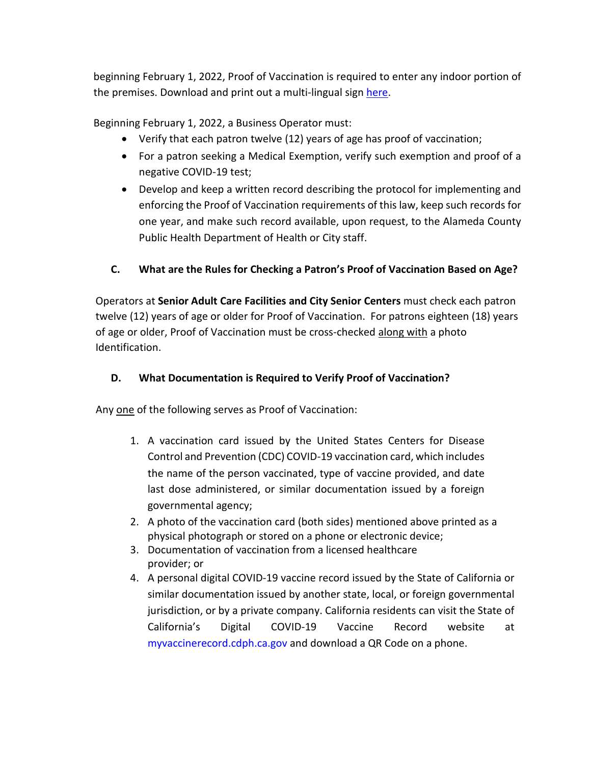beginning February 1, 2022, Proof of Vaccination is required to enter any indoor portion of the premises. Download and print out a multi-lingual sign [here.](https://s3.us-west-2.amazonaws.com/cao-94612/galleries/vaccinemandate_poster.pdf)

Beginning February 1, 2022, a Business Operator must:

- Verify that each patron twelve (12) years of age has proof of vaccination;
- For a patron seeking a Medical Exemption, verify such exemption and proof of a negative COVID-19 test;
- Develop and keep a written record describing the protocol for implementing and enforcing the Proof of Vaccination requirements of this law, keep such records for one year, and make such record available, upon request, to the Alameda County Public Health Department of Health or City staff.

## <span id="page-1-0"></span>**C. What are the Rules for Checking a Patron's Proof of Vaccination Based on Age?**

Operators at **Senior Adult Care Facilities and City Senior Centers** must check each patron twelve (12) years of age or older for Proof of Vaccination. For patrons eighteen (18) years of age or older, Proof of Vaccination must be cross-checked along with a photo Identification.

### **D. What Documentation is Required to Verify Proof of Vaccination?**

<span id="page-1-1"></span>Any one of the following serves as Proof of Vaccination:

- 1. A vaccination card issued by the United States Centers for Disease Control and Prevention (CDC) COVID-19 vaccination card, which includes the name of the person vaccinated, type of vaccine provided, and date last dose administered, or similar documentation issued by a foreign governmental agency;
- 2. A photo of the vaccination card (both sides) mentioned above printed as a physical photograph or stored on a phone or electronic device;
- 3. Documentation of vaccination from a licensed healthcare provider; or
- 4. A personal digital COVID-19 vaccine record issued by the State of California or similar documentation issued by another state, local, or foreign governmental jurisdiction, or by a private company. California residents can visit the State of California's Digital COVID-19 Vaccine Record website at myvaccinerecord.cdph.ca.gov and download a QR Code on a phone.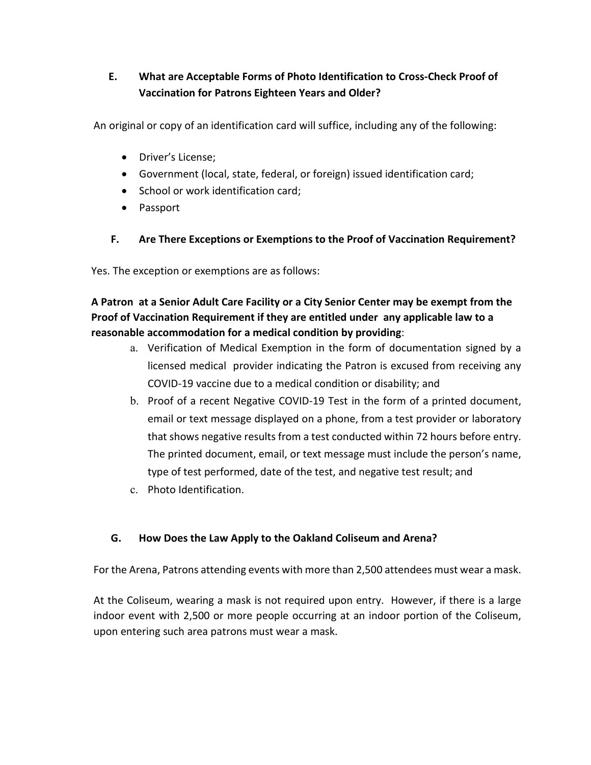# <span id="page-2-0"></span>**E. What are Acceptable Forms of Photo Identification to Cross-Check Proof of Vaccination for Patrons Eighteen Years and Older?**

An original or copy of an identification card will suffice, including any of the following:

- Driver's License;
- Government (local, state, federal, or foreign) issued identification card;
- School or work identification card;
- Passport

### **F. Are There Exceptions or Exemptions to the Proof of Vaccination Requirement?**

<span id="page-2-1"></span>Yes. The exception or exemptions are as follows:

## **A Patron at a Senior Adult Care Facility or a City Senior Center may be exempt from the Proof of Vaccination Requirement if they are entitled under any applicable law to a reasonable accommodation for a medical condition by providing**:

- a. Verification of Medical Exemption in the form of documentation signed by a licensed medical provider indicating the Patron is excused from receiving any COVID-19 vaccine due to a medical condition or disability; and
- b. Proof of a recent Negative COVID-19 Test in the form of a printed document, email or text message displayed on a phone, from a test provider or laboratory that shows negative results from a test conducted within 72 hours before entry. The printed document, email, or text message must include the person's name, type of test performed, date of the test, and negative test result; and
- c. Photo Identification.

#### <span id="page-2-2"></span>**G. How Does the Law Apply to the Oakland Coliseum and Arena?**

For the Arena, Patrons attending events with more than 2,500 attendees must wear a mask.

At the Coliseum, wearing a mask is not required upon entry. However, if there is a large indoor event with 2,500 or more people occurring at an indoor portion of the Coliseum, upon entering such area patrons must wear a mask.